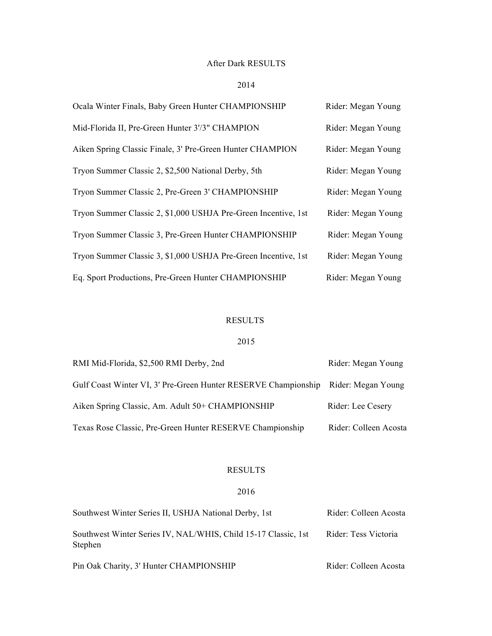### After Dark RESULTS

### 2014

| Ocala Winter Finals, Baby Green Hunter CHAMPIONSHIP            | Rider: Megan Young |
|----------------------------------------------------------------|--------------------|
| Mid-Florida II, Pre-Green Hunter 3'/3" CHAMPION                | Rider: Megan Young |
| Aiken Spring Classic Finale, 3' Pre-Green Hunter CHAMPION      | Rider: Megan Young |
| Tryon Summer Classic 2, \$2,500 National Derby, 5th            | Rider: Megan Young |
| Tryon Summer Classic 2, Pre-Green 3' CHAMPIONSHIP              | Rider: Megan Young |
| Tryon Summer Classic 2, \$1,000 USHJA Pre-Green Incentive, 1st | Rider: Megan Young |
| Tryon Summer Classic 3, Pre-Green Hunter CHAMPIONSHIP          | Rider: Megan Young |
| Tryon Summer Classic 3, \$1,000 USHJA Pre-Green Incentive, 1st | Rider: Megan Young |
| Eq. Sport Productions, Pre-Green Hunter CHAMPIONSHIP           | Rider: Megan Young |

# RESULTS

## 2015

| RMI Mid-Florida, \$2,500 RMI Derby, 2nd                                           | Rider: Megan Young    |
|-----------------------------------------------------------------------------------|-----------------------|
| Gulf Coast Winter VI, 3' Pre-Green Hunter RESERVE Championship Rider: Megan Young |                       |
| Aiken Spring Classic, Am. Adult 50+ CHAMPIONSHIP                                  | Rider: Lee Cesery     |
| Texas Rose Classic, Pre-Green Hunter RESERVE Championship                         | Rider: Colleen Acosta |

# RESULTS

### 2016

| Southwest Winter Series II, USHJA National Derby, 1st                     | Rider: Colleen Acosta |  |
|---------------------------------------------------------------------------|-----------------------|--|
| Southwest Winter Series IV, NAL/WHIS, Child 15-17 Classic, 1st<br>Stephen | Rider: Tess Victoria  |  |
| Pin Oak Charity, 3' Hunter CHAMPIONSHIP                                   | Rider: Colleen Acosta |  |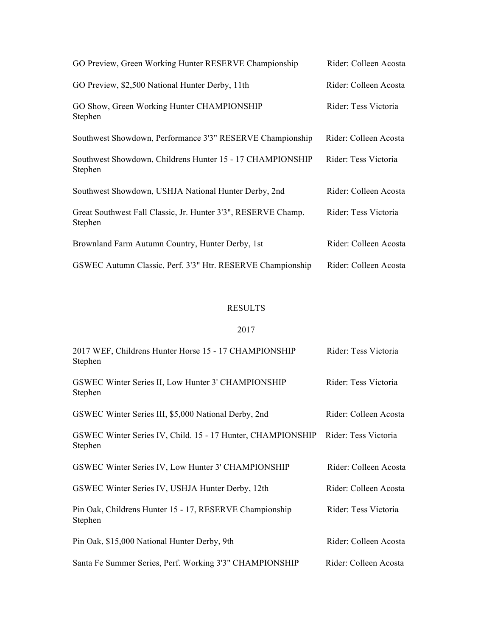| GO Preview, Green Working Hunter RESERVE Championship                    | Rider: Colleen Acosta |
|--------------------------------------------------------------------------|-----------------------|
| GO Preview, \$2,500 National Hunter Derby, 11th                          | Rider: Colleen Acosta |
| GO Show, Green Working Hunter CHAMPIONSHIP<br>Stephen                    | Rider: Tess Victoria  |
| Southwest Showdown, Performance 3'3" RESERVE Championship                | Rider: Colleen Acosta |
| Southwest Showdown, Childrens Hunter 15 - 17 CHAMPIONSHIP<br>Stephen     | Rider: Tess Victoria  |
| Southwest Showdown, USHJA National Hunter Derby, 2nd                     | Rider: Colleen Acosta |
| Great Southwest Fall Classic, Jr. Hunter 3'3", RESERVE Champ.<br>Stephen | Rider: Tess Victoria  |
| Brownland Farm Autumn Country, Hunter Derby, 1st                         | Rider: Colleen Acosta |
| GSWEC Autumn Classic, Perf. 3'3" Htr. RESERVE Championship               | Rider: Colleen Acosta |

#### RESULTS

#### 2017

| 2017 WEF, Childrens Hunter Horse 15 - 17 CHAMPIONSHIP<br>Stephen       | Rider: Tess Victoria  |
|------------------------------------------------------------------------|-----------------------|
| GSWEC Winter Series II, Low Hunter 3' CHAMPIONSHIP<br>Stephen          | Rider: Tess Victoria  |
| GSWEC Winter Series III, \$5,000 National Derby, 2nd                   | Rider: Colleen Acosta |
| GSWEC Winter Series IV, Child. 15 - 17 Hunter, CHAMPIONSHIP<br>Stephen | Rider: Tess Victoria  |
| GSWEC Winter Series IV, Low Hunter 3' CHAMPIONSHIP                     | Rider: Colleen Acosta |
| GSWEC Winter Series IV, USHJA Hunter Derby, 12th                       | Rider: Colleen Acosta |
| Pin Oak, Childrens Hunter 15 - 17, RESERVE Championship<br>Stephen     | Rider: Tess Victoria  |
| Pin Oak, \$15,000 National Hunter Derby, 9th                           | Rider: Colleen Acosta |
| Santa Fe Summer Series, Perf. Working 3'3" CHAMPIONSHIP                | Rider: Colleen Acosta |